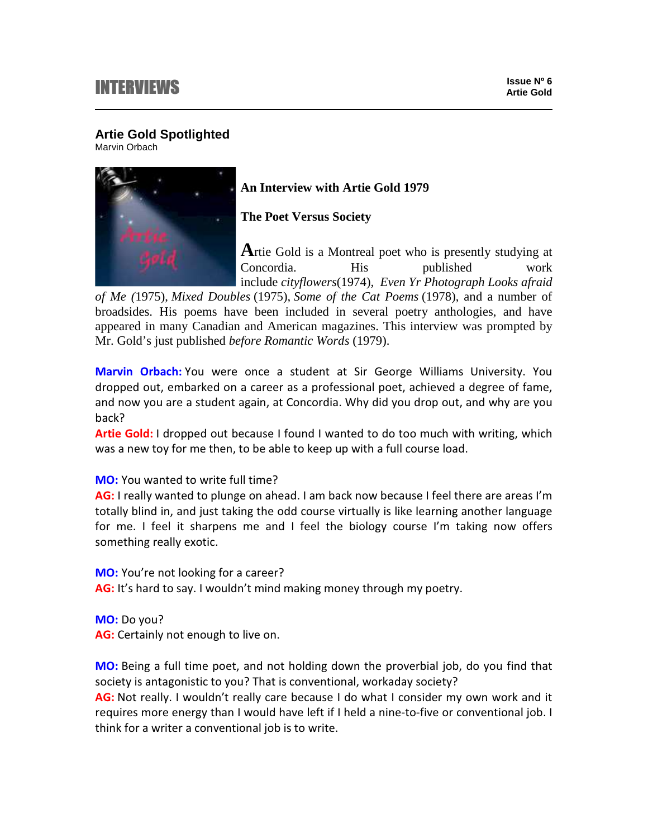# **INTERVIEWS**

## **Artie Gold Spotlighted**

Marvin Orbach



## **An Interview with Artie Gold 1979**

**The Poet Versus Society**

**A**rtie Gold is a Montreal poet who is presently studying at Concordia. His published work include *cityflowers*(1974)*, Even Yr Photograph Looks afraid* 

*of Me (*1975), *Mixed Doubles* (1975), *Some of the Cat Poems* (1978), and a number of broadsides. His poems have been included in several poetry anthologies, and have appeared in many Canadian and American magazines. This interview was prompted by Mr. Gold's just published *before Romantic Words* (1979).

Marvin Orbach: You were once a student at Sir George Williams University. You dropped out, embarked on a career as a professional poet, achieved a degree of fame, and now you are a student again, at Concordia. Why did you drop out, and why are you back?

Artie Gold: I dropped out because I found I wanted to do too much with writing, which was a new toy for me then, to be able to keep up with a full course load.

MO: You wanted to write full time?

AG: I really wanted to plunge on ahead. I am back now because I feel there are areas I'm totally blind in, and just taking the odd course virtually is like learning another language for me. I feel it sharpens me and I feel the biology course I'm taking now offers something really exotic.

MO: You're not looking for a career?

AG: It's hard to say. I wouldn't mind making money through my poetry.

MO: Do you? AG: Certainly not enough to live on.

MO: Being a full time poet, and not holding down the proverbial job, do you find that society is antagonistic to you? That is conventional, workaday society?

AG: Not really. I wouldn't really care because I do what I consider my own work and it requires more energy than I would have left if I held a nine-to-five or conventional job. I think for a writer a conventional job is to write.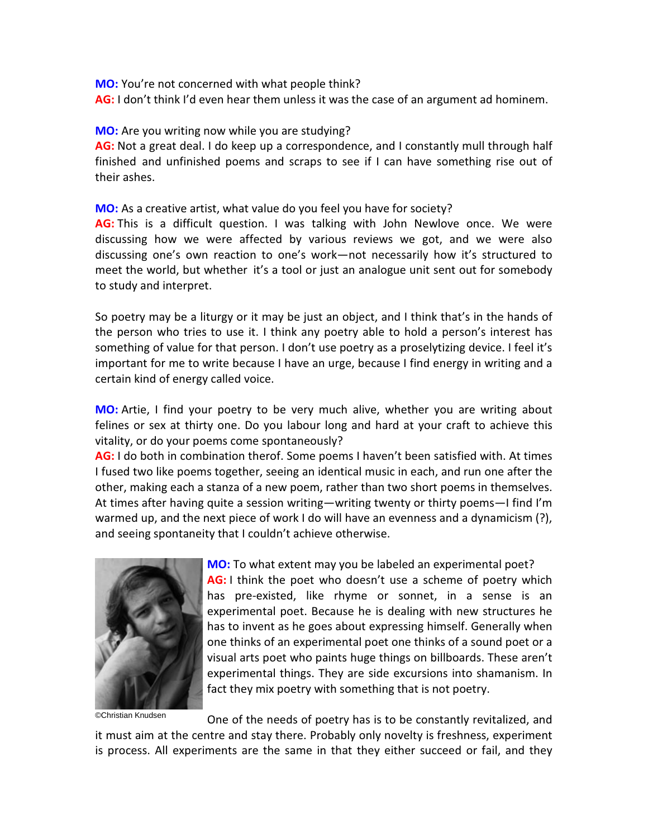**MO:** You're not concerned with what people think?

AG: I don't think I'd even hear them unless it was the case of an argument ad hominem.

### MO: Are you writing now while you are studying?

AG: Not a great deal. I do keep up a correspondence, and I constantly mull through half finished and unfinished poems and scraps to see if I can have something rise out of their ashes.

MO: As a creative artist, what value do you feel you have for society?

AG: This is a difficult question. I was talking with John Newlove once. We were discussing how we were affected by various reviews we got, and we were also discussing one's own reaction to one's work—not necessarily how it's structured to meet the world, but whether it's a tool or just an analogue unit sent out for somebody to study and interpret.

So poetry may be a liturgy or it may be just an object, and I think that's in the hands of the person who tries to use it. I think any poetry able to hold a person's interest has something of value for that person. I don't use poetry as a proselytizing device. I feel it's important for me to write because I have an urge, because I find energy in writing and a certain kind of energy called voice.

MO: Artie, I find your poetry to be very much alive, whether you are writing about felines or sex at thirty one. Do you labour long and hard at your craft to achieve this vitality, or do your poems come spontaneously?

AG: I do both in combination therof. Some poems I haven't been satisfied with. At times I fused two like poems together, seeing an identical music in each, and run one after the other, making each a stanza of a new poem, rather than two short poems in themselves. At times after having quite a session writing—writing twenty or thirty poems—I find I'm warmed up, and the next piece of work I do will have an evenness and a dynamicism (?), and seeing spontaneity that I couldn't achieve otherwise.



MO: To what extent may you be labeled an experimental poet? AG: I think the poet who doesn't use a scheme of poetry which has pre-existed, like rhyme or sonnet, in a sense is an experimental poet. Because he is dealing with new structures he has to invent as he goes about expressing himself. Generally when one thinks of an experimental poet one thinks of a sound poet or a visual arts poet who paints huge things on billboards. These aren't experimental things. They are side excursions into shamanism. In fact they mix poetry with something that is not poetry.

©Christian Knudsen

One of the needs of poetry has is to be constantly revitalized, and

it must aim at the centre and stay there. Probably only novelty is freshness, experiment is process. All experiments are the same in that they either succeed or fail, and they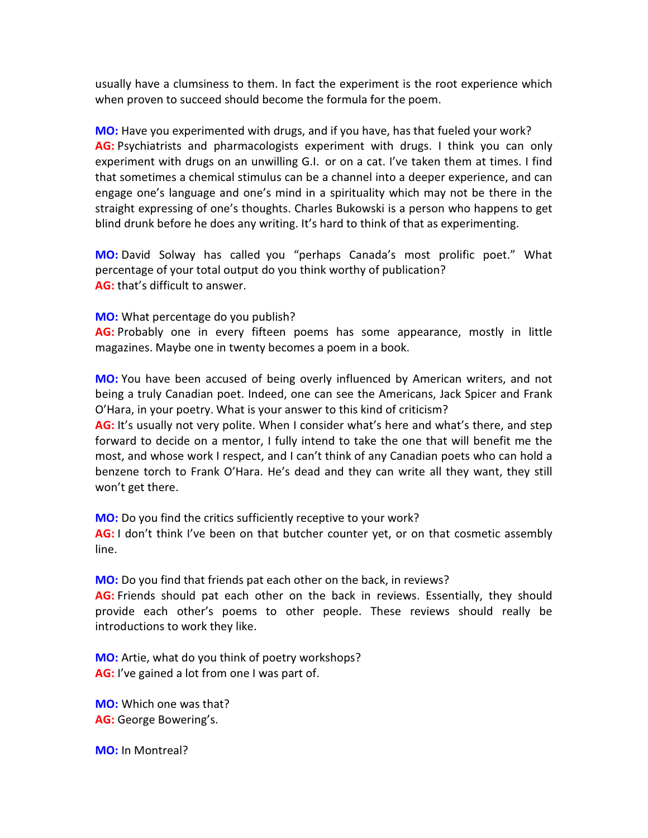usually have a clumsiness to them. In fact the experiment is the root experience which when proven to succeed should become the formula for the poem.

MO: Have you experimented with drugs, and if you have, has that fueled your work? AG: Psychiatrists and pharmacologists experiment with drugs. I think you can only experiment with drugs on an unwilling G.I. or on a cat. I've taken them at times. I find that sometimes a chemical stimulus can be a channel into a deeper experience, and can engage one's language and one's mind in a spirituality which may not be there in the straight expressing of one's thoughts. Charles Bukowski is a person who happens to get blind drunk before he does any writing. It's hard to think of that as experimenting.

MO: David Solway has called you "perhaps Canada's most prolific poet." What percentage of your total output do you think worthy of publication? AG: that's difficult to answer.

MO: What percentage do you publish?

AG: Probably one in every fifteen poems has some appearance, mostly in little magazines. Maybe one in twenty becomes a poem in a book.

MO: You have been accused of being overly influenced by American writers, and not being a truly Canadian poet. Indeed, one can see the Americans, Jack Spicer and Frank O'Hara, in your poetry. What is your answer to this kind of criticism?

AG: It's usually not very polite. When I consider what's here and what's there, and step forward to decide on a mentor, I fully intend to take the one that will benefit me the most, and whose work I respect, and I can't think of any Canadian poets who can hold a benzene torch to Frank O'Hara. He's dead and they can write all they want, they still won't get there.

MO: Do you find the critics sufficiently receptive to your work? AG: I don't think I've been on that butcher counter yet, or on that cosmetic assembly line.

MO: Do you find that friends pat each other on the back, in reviews? AG: Friends should pat each other on the back in reviews. Essentially, they should provide each other's poems to other people. These reviews should really be introductions to work they like.

MO: Artie, what do you think of poetry workshops? AG: I've gained a lot from one I was part of.

MO: Which one was that? AG: George Bowering's.

MO: In Montreal?